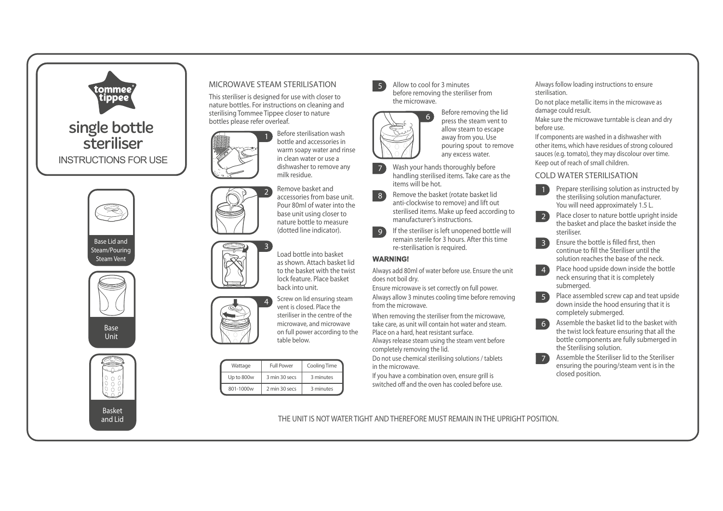

# MICROWAVE STEAM STERILISATION

2

This steriliser is designed for use with closer to nature bottles. For instructions on cleaning and sterilising Tommee Tippee closer to nature bottles please refer overleaf.

> Before sterilisation wash bottle and accessories in warm soapy water and rinse in clean water or use a dishwasher to remove any milk residue.

Remove basket and accessories from base unit. Pour 80ml of water into the base unit using closer to nature bottle to measure (dotted line indicator).

Load bottle into basket as shown. Attach basket lid to the basket with the twist lock feature. Place basket back into unit.

4 Screw on lid ensuring steam vent is closed. Place the steriliser in the centre of the microwave, and microwave on full power according to the table below.

| Wattage    | <b>Full Power</b> | Cooling Time |
|------------|-------------------|--------------|
| Up to 800w | 3 min 30 secs     | 3 minutes    |
| 801-1000w  | 2 min 30 secs     | 3 minutes    |

Allow to cool for 3 minutes before removing the steriliser from the microwave.



5

Before removing the lid press the steam vent to allow steam to escape away from you. Use pouring spout to remove any excess water.

- 7 Wash your hands thoroughly before handling sterilised items. Take care as the items will be hot.
- 8 Remove the basket (rotate basket lid anti-clockwise to remove) and lift out sterilised items. Make up feed according to manufacturer's instructions.
- $\{9\}$ If the steriliser is left unopened bottle will remain sterile for 3 hours. After this time re-sterilisation is required.

### **WARNING!**

Always add 80ml of water before use. Ensure the unit does not boil dry.

Ensure microwave is set correctly on full power.

Always allow 3 minutes cooling time before removing from the microwave.

When removing the steriliser from the microwave, take care, as unit will contain hot water and steam. Place on a hard, heat resistant surface.

Always release steam using the steam vent before completely removing the lid.

Do not use chemical sterilising solutions / tablets in the microwave.

If you have a combination oven, ensure grill is switched off and the oven has cooled before use. Always follow loading instructions to ensure sterilisation.

Do not place metallic items in the microwave as damage could result.

Make sure the microwave turntable is clean and dry before use.

If components are washed in a dishwasher with other items, which have residues of strong coloured sauces (e.g. tomato), they may discolour over time. Keep out of reach of small children.

# COLD WATER STERILISATION



2 Place closer to nature bottle upright inside the basket and place the basket inside the steriliser.

3 Ensure the bottle is filled first, then continue to fill the Steriliser until the solution reaches the base of the neck.

4 Place hood upside down inside the bottle neck ensuring that it is completely submerged.

5 Place assembled screw cap and teat upside down inside the hood ensuring that it is completely submerged.

6 Assemble the basket lid to the basket with the twist lock feature ensuring that all the bottle components are fully submerged in the Sterilising solution.

 Assemble the Steriliser lid to the Steriliser ensuring the pouring/steam vent is in the closed position.

7

THE UNIT IS NOT WATER TIGHT AND THEREFORE MUST REMAIN IN THE UPRIGHT POSITION.